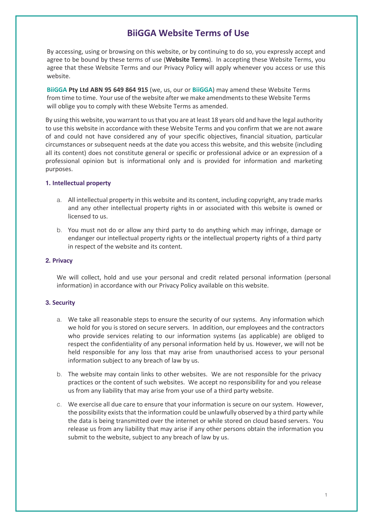# **BiiGGA Website Terms of Use**

By accessing, using or browsing on this website, or by continuing to do so, you expressly accept and agree to be bound by these terms of use (**Website Terms**). In accepting these Website Terms, you agree that these Website Terms and our Privacy Policy will apply whenever you access or use this website.

**BiiGGA Pty Ltd ABN 95 649 864 915** (we, us, our or **BiiGGA**) may amend these Website Terms from time to time. Your use of the website after we make amendments to these Website Terms will oblige you to comply with these Website Terms as amended.

By using this website, you warrant to us that you are at least 18 years old and have the legal authority to use this website in accordance with these Website Terms and you confirm that we are not aware of and could not have considered any of your specific objectives, financial situation, particular circumstances or subsequent needs at the date you access this website, and this website (including all its content) does not constitute general or specific or professional advice or an expression of a professional opinion but is informational only and is provided for information and marketing purposes.

## **1. Intellectual property**

- a. All intellectual property in this website and its content, including copyright, any trade marks and any other intellectual property rights in or associated with this website is owned or licensed to us.
- b. You must not do or allow any third party to do anything which may infringe, damage or endanger our intellectual property rights or the intellectual property rights of a third party in respect of the website and its content.

## **2. Privacy**

We will collect, hold and use your personal and credit related personal information (personal information) in accordance with our Privacy Policy available on this website.

## **3. Security**

- a. We take all reasonable steps to ensure the security of our systems. Any information which we hold for you is stored on secure servers. In addition, our employees and the contractors who provide services relating to our information systems (as applicable) are obliged to respect the confidentiality of any personal information held by us. However, we will not be held responsible for any loss that may arise from unauthorised access to your personal information subject to any breach of law by us.
- b. The website may contain links to other websites. We are not responsible for the privacy practices or the content of such websites. We accept no responsibility for and you release us from any liability that may arise from your use of a third party website.
- c. We exercise all due care to ensure that your information is secure on our system. However, the possibility exists that the information could be unlawfully observed by a third party while the data is being transmitted over the internet or while stored on cloud based servers. You release us from any liability that may arise if any other persons obtain the information you submit to the website, subject to any breach of law by us.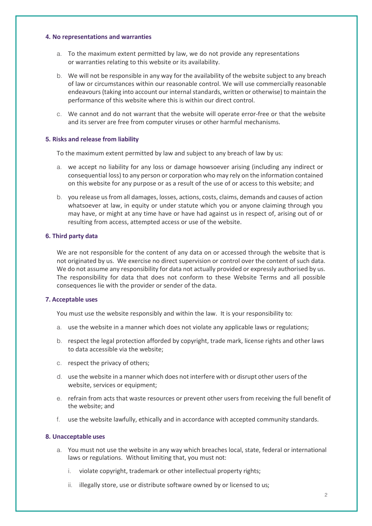## **4. No representations and warranties**

- a. To the maximum extent permitted by law, we do not provide any representations or warranties relating to this website or its availability.
- b. We will not be responsible in any way for the availability of the website subject to any breach of law or circumstances within our reasonable control. We will use commercially reasonable endeavours (taking into account our internal standards, written or otherwise) to maintain the performance of this website where this is within our direct control.
- c. We cannot and do not warrant that the website will operate error-free or that the website and its server are free from computer viruses or other harmful mechanisms.

## **5. Risks and release from liability**

To the maximum extent permitted by law and subject to any breach of law by us:

- a. we accept no liability for any loss or damage howsoever arising (including any indirect or consequential loss) to any person or corporation who may rely on the information contained on this website for any purpose or as a result of the use of or access to this website; and
- b. you release us from all damages, losses, actions, costs, claims, demands and causes of action whatsoever at law, in equity or under statute which you or anyone claiming through you may have, or might at any time have or have had against us in respect of, arising out of or resulting from access, attempted access or use of the website.

#### **6. Third party data**

We are not responsible for the content of any data on or accessed through the website that is not originated by us. We exercise no direct supervision or control over the content of such data. We do not assume any responsibility for data not actually provided or expressly authorised by us. The responsibility for data that does not conform to these Website Terms and all possible consequences lie with the provider or sender of the data.

#### **7. Acceptable uses**

You must use the website responsibly and within the law. It is your responsibility to:

- a. use the website in a manner which does not violate any applicable laws or regulations;
- b. respect the legal protection afforded by copyright, trade mark, license rights and other laws to data accessible via the website;
- c. respect the privacy of others;
- d. use the website in a manner which does not interfere with or disrupt other users of the website, services or equipment;
- e. refrain from acts that waste resources or prevent other users from receiving the full benefit of the website; and
- f. use the website lawfully, ethically and in accordance with accepted community standards.

## **8. Unacceptable uses**

- a. You must not use the website in any way which breaches local, state, federal or international laws or regulations. Without limiting that, you must not:
	- i. violate copyright, trademark or other intellectual property rights;
	- ii. illegally store, use or distribute software owned by or licensed to us;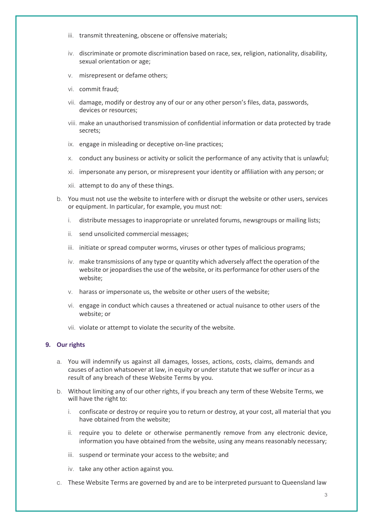- iii. transmit threatening, obscene or offensive materials;
- iv. discriminate or promote discrimination based on race, sex, religion, nationality, disability, sexual orientation or age;
- v. misrepresent or defame others;
- vi. commit fraud;
- vii. damage, modify or destroy any of our or any other person's files, data, passwords, devices or resources;
- viii. make an unauthorised transmission of confidential information or data protected by trade secrets;
- ix. engage in misleading or deceptive on-line practices;
- x. conduct any business or activity or solicit the performance of any activity that is unlawful;
- xi. impersonate any person, or misrepresent your identity or affiliation with any person; or
- xii. attempt to do any of these things.
- b. You must not use the website to interfere with or disrupt the website or other users, services or equipment. In particular, for example, you must not:
	- i. distribute messages to inappropriate or unrelated forums, newsgroups or mailing lists;
	- ii. send unsolicited commercial messages;
	- iii. initiate or spread computer worms, viruses or other types of malicious programs;
	- iv. make transmissions of any type or quantity which adversely affect the operation of the website or jeopardises the use of the website, or its performance for other users of the website;
	- v. harass or impersonate us, the website or other users of the website;
	- vi. engage in conduct which causes a threatened or actual nuisance to other users of the website; or
	- vii. violate or attempt to violate the security of the website.

## **9. Our rights**

- a. You will indemnify us against all damages, losses, actions, costs, claims, demands and causes of action whatsoever at law, in equity or under statute that we suffer or incur as a result of any breach of these Website Terms by you.
- b. Without limiting any of our other rights, if you breach any term of these Website Terms, we will have the right to:
	- i. confiscate or destroy or require you to return or destroy, at your cost, all material that you have obtained from the website;
	- ii. require you to delete or otherwise permanently remove from any electronic device, information you have obtained from the website, using any means reasonably necessary;
	- iii. suspend or terminate your access to the website; and
	- iv. take any other action against you.
- c. These Website Terms are governed by and are to be interpreted pursuant to Queensland law